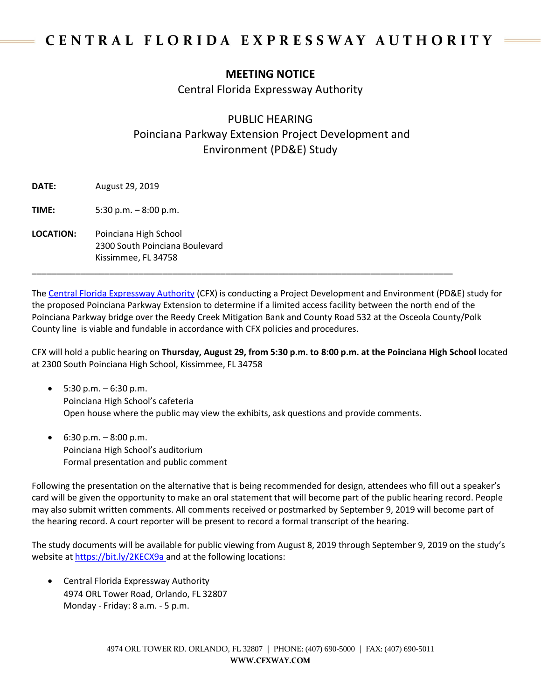## CENTRAL FLORIDA EXPRESSWAY AUTHORITY

## **MEETING NOTICE**

Central Florida Expressway Authority

## PUBLIC HEARING Poinciana Parkway Extension Project Development and Environment (PD&E) Study

**DATE:** August 29, 2019

**TIME:** 5:30 p.m. – 8:00 p.m.

**LOCATION:** Poinciana High School 2300 South Poinciana Boulevard Kissimmee, FL 34758

The [Central Florida Expressway Authority](https://www.cfxway.com/) (CFX) is conducting a Project Development and Environment (PD&E) study for the proposed Poinciana Parkway Extension to determine if a limited access facility between the north end of the Poinciana Parkway bridge over the Reedy Creek Mitigation Bank and County Road 532 at the Osceola County/Polk County line is viable and fundable in accordance with CFX policies and procedures.

CFX will hold a public hearing on **Thursday, August 29, from 5:30 p.m. to 8:00 p.m. at the Poinciana High School** located at 2300 South Poinciana High School, Kissimmee, FL 34758

5:30 p.m.  $-6:30$  p.m. Poinciana High School's cafeteria Open house where the public may view the exhibits, ask questions and provide comments.

\_\_\_\_\_\_\_\_\_\_\_\_\_\_\_\_\_\_\_\_\_\_\_\_\_\_\_\_\_\_\_\_\_\_\_\_\_\_\_\_\_\_\_\_\_\_\_\_\_\_\_\_\_\_\_\_\_\_\_\_\_\_\_\_\_\_\_\_\_\_\_\_\_\_\_\_\_\_\_\_\_\_\_\_\_\_\_

•  $6:30 \text{ p.m.} - 8:00 \text{ p.m.}$ Poinciana High School's auditorium Formal presentation and public comment

Following the presentation on the alternative that is being recommended for design, attendees who fill out a speaker's card will be given the opportunity to make an oral statement that will become part of the public hearing record. People may also submit written comments. All comments received or postmarked by September 9, 2019 will become part of the hearing record. A court reporter will be present to record a formal transcript of the hearing.

The study documents will be available for public viewing from August 8, 2019 through September 9, 2019 on the study's website at<https://bit.ly/2KECX9a> and at the following locations:

• Central Florida Expressway Authority 4974 ORL Tower Road, Orlando, FL 32807 Monday - Friday: 8 a.m. - 5 p.m.